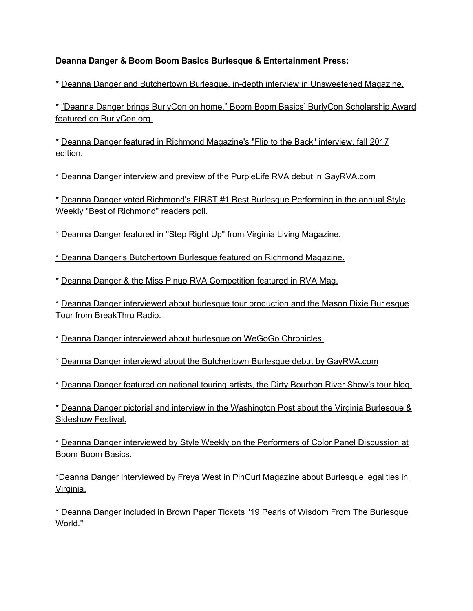## **Deanna Danger & Boom Boom Basics Burlesque & Entertainment Press:**

\* Deanna Danger and Butchertown Burlesque, in-depth interview in [Unsweetened](http://auntiebellum.org/mag/deanna-dangers-butchertown-burlesque-and-a-brief-history-of-transgressive-richmond/) Magazine.

\* "Deanna Danger brings BurlyCon on home," Boom Boom Basics' BurlyCon [Scholarship](http://burlycon.org/burlesque-scholarships-deanna-danger/) Award featured on [BurlyCon.org.](http://burlycon.org/burlesque-scholarships-deanna-danger/)

\* Deanna Danger featured in Richmond [Magazine's](http://richmondmagazine.com/news/flip-to-the-back-deanna-danger/) "Flip to the Back" interview, fall 2017 [editio](http://richmondmagazine.com/news/flip-to-the-back-deanna-danger/)n.

\* Deanna Danger interview and preview of the PurpleLife RVA debut in [GayRVA.com](http://www.gayrva.com/news-views/with-purplelife-rva-animal-deanna-danger-aim-to-reinvent-the-dance-night/)

\* Deanna Danger voted [Richmond's](http://www.styleweekly.com/richmond/best-burlesque-performer/BestOf?oid=1894582) FIRST #1 Best Burlesque Performing in the annual Style Weekly "Best of [Richmond"](http://www.styleweekly.com/richmond/best-burlesque-performer/BestOf?oid=1894582) readers poll.

\* Deanna Danger featured in "Step Right Up" from Virginia Living [Magazine.](http://www.virginialiving.com/step-right-up/)

[\\*](http://www.virginialiving.com/step-right-up/) Deanna Danger's [Butchertown](http://richmondmagazine.com/arts-entertainment/richmond-events/butchertown-burlesque-theatrelab/) Burlesque featured on Richmond Magazine.

\* Deanna Danger & the Miss Pinup RVA [Competition](http://rvamag.com/articles/full/26568/richmond-tattoo-and-arts-festival-enters-24th-year-with-over-100-artists-in?utm_medium=email&utm_campaign=RVA%20247%20Danny%20McBride%20Werner%20Herzog%20Shirley%20MacLaine%20Top%202016%20Virginia%20Film%20Festival%20Richmond%20Tattoo%20%20Arts%20Festival%20Enters%2024th%20Year%20This%20Weekend%20%20The%20RVA%20Podcasting%20Community%20Unites&utm_content=RVA%20247%20Danny%20McBride%20Werner%20Herzog%20Shirley%20MacLaine%20Top%202016%20Virginia%20Film%20Festival%20Richmond%20Tattoo%20%20Arts%20Festival%20Enters%2024th%20Year%20This%20Weekend%20%20The%20RVA%20Podcasting%20Community%20Unites+CID_617ae2abc1273747193f8dfd1259a583&utm_source=RVA%20Mag%20Weekly&utm_term=READ%20MORE) featured in RVA Mag.

\* Deanna Danger [interviewed](http://www.breakthruradio.com/#/post/?blog=72&post=25404) about burlesque tour production and the Mason Dixie Burlesque Tour from [BreakThru](http://www.breakthruradio.com/#/post/?blog=72&post=25404) Radio.

\* Deanna Danger [interviewed](http://us6.campaign-archive2.com/?u=96b5f9791b61823c3963f9507&id=f611321ce8) about burlesque on WeGoGo Chronicles.

\* Deanna Danger interviewd about the Butchertown Burlesque debut by [GayRVA.com](http://www.gayrva.com/arts-culture/theatrelab-and-deanna-danger-premiere-new-jazzburlesque-series-on-saturday/)

\* Deanna Danger featured on national touring artists, the Dirty [Bourbon](https://dirtybourbonrivershow.com/2016/10/18/red-beans-and-rice-burlesque-is-nice/) River Show's tour blog.

\* Deanna Danger pictorial and interview in the [Washington](http://www.washingtonpost.com/entertainment/theater_dance/new-burlesque-encourages-all-shapes-sizes-and-sexes/2013/05/24/e6120982-bf32-11e2-97d4-a479289a31f9_story.html) Post about the Virginia Burlesque & [Sideshow](http://www.washingtonpost.com/entertainment/theater_dance/new-burlesque-encourages-all-shapes-sizes-and-sexes/2013/05/24/e6120982-bf32-11e2-97d4-a479289a31f9_story.html) Festival.

\* Deanna Danger [interviewed](http://www.styleweekly.com/richmond/the-big-reveal/Content?oid=2101627) by Style Weekly on the Performers of Color Panel Discussion at Boom Boom [Basics.](http://www.styleweekly.com/richmond/the-big-reveal/Content?oid=2101627)

\*Deanna Danger [interviewed](http://pincurlmag.com/saluting-the-red-white-but-mostly-blue-laws-of-america) by Freya West in PinCurl Magazine about Burlesque legalities in [Virginia.](http://pincurlmag.com/saluting-the-red-white-but-mostly-blue-laws-of-america)

\* Deanna Danger included in Brown Paper Tickets "19 Pearls of Wisdom From The [Burlesque](http://community.brownpapertickets.com/wp/19-tips-world-burlesque/) [World."](http://community.brownpapertickets.com/wp/19-tips-world-burlesque/)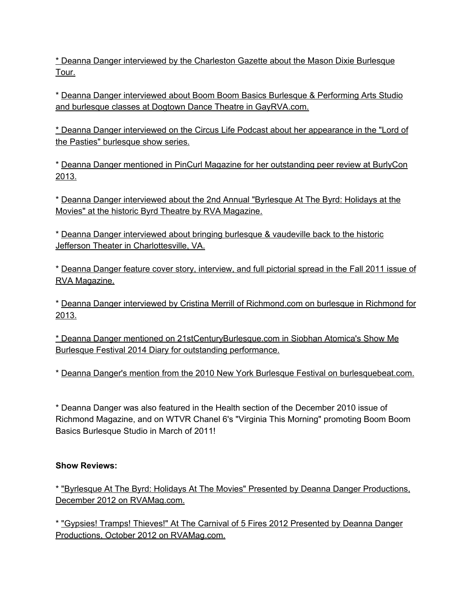\* Deanna Danger [interviewed](http://www.wvgazettemail.com/Entertainment/201402260211) by the Charleston Gazette about the Mason Dixie Burlesque [Tour.](http://www.wvgazettemail.com/Entertainment/201402260211)

\* Deanna Danger [interviewed](http://www.gayrva.com/arts-culture/dogtown-dance-theatre-booming-richmonds-premiere-hub-for-movement-arts/) about Boom Boom Basics Burlesque & Performing Arts Studio and burlesque classes at Dogtown Dance Theatre in [GayRVA.com.](http://www.gayrva.com/arts-culture/dogtown-dance-theatre-booming-richmonds-premiere-hub-for-movement-arts/)

\* Deanna Danger interviewed on the Circus Life Podcast about her [appearance](http://thecircuslife.com/051-andrew-tufano-lord-of-the-pasties-will-layman-scott-price/) in the "Lord of the Pasties" [burlesque](http://thecircuslife.com/051-andrew-tufano-lord-of-the-pasties-will-layman-scott-price/) show series.

\* Deanna Danger mentioned in PinCurl Magazine for her [outstanding](http://pincurlmag.com/a-page-from-siren-santinas-diary-burlycon-2013) peer review at BurlyCon [2013.](http://pincurlmag.com/a-page-from-siren-santinas-diary-burlycon-2013)

\* Deanna Danger [interviewed](http://rvamag.com/articles/full/22675/byrlesque-at-the-byrd-returns-with-second-annual-holidays-at-the-movies-performa) about the 2nd Annual "Byrlesque At The Byrd: Holidays at the Movies" at the historic Byrd Theatre by RVA [Magazine.](http://rvamag.com/articles/full/22675/byrlesque-at-the-byrd-returns-with-second-annual-holidays-at-the-movies-performa)

\* Deanna Danger [interviewed](http://www.hispanicbusiness.com/2013/8/23/burlesque_and_vaudeville_show_at_the.htm) about bringing burlesque & vaudeville back to the historic Jefferson Theater in [Charlottesville,](http://www.hispanicbusiness.com/2013/8/23/burlesque_and_vaudeville_show_at_the.htm) VA.

\* Deanna Danger feature cover story, [interview,](http://rvamag.com/articles/full/12473/rva-no-6-boom-boom-basics) and full pictorial spread in the Fall 2011 issue of RVA [Magazine.](http://rvamag.com/articles/full/12473/rva-no-6-boom-boom-basics)

\* Deanna Danger interviewed by Cristina Merrill of [Richmond.com](http://www.richmond.com/arts-entertainment/article_5e8d2400-4927-11e2-8c31-0019bb30f31a.html) on burlesque in Richmond for [2013.](http://www.richmond.com/arts-entertainment/article_5e8d2400-4927-11e2-8c31-0019bb30f31a.html)

\* Deanna Danger mentioned on [21stCenturyBurlesque.com](http://21stcenturyburlesque.com/siobhan-atomica-show-me-burlesque-festival-diary-part-2/) in Siobhan Atomica's Show Me Burlesque Festival 2014 Diary for outstanding [performance.](http://21stcenturyburlesque.com/siobhan-atomica-show-me-burlesque-festival-diary-part-2/)

\* Deanna Danger's mention from the 2010 New York Burlesque Festival on [burlesquebeat.com.](http://burlesquebeat.com/2010/10/07/nybf-2010-thursday-teaser-party/)

\* Deanna Danger was also featured in the Health section of the December 2010 issue of Richmond Magazine, and on WTVR Chanel 6's "Virginia This Morning" promoting Boom Boom Basics Burlesque Studio in March of 2011!

## **Show Reviews:**

\* "Byrlesque At The Byrd: Holidays At The Movies" Presented by Deanna Danger [Productions,](http://rvamag.com/articles/full/17191/byrlesque-at-the-byrd-holidays-at-the-movies) December 2012 on [RVAMag.com.](http://rvamag.com/articles/full/17191/byrlesque-at-the-byrd-holidays-at-the-movies)

\* "Gypsies! Tramps! Thieves!" At The Carnival of 5 Fires 2012 [Presented](http://rvamag.com/articles/full/16994/gypsies-tramps-thieves-at-gallery-5) by Deanna Danger Productions, October 2012 on [RVAMag.com.](http://rvamag.com/articles/full/16994/gypsies-tramps-thieves-at-gallery-5)